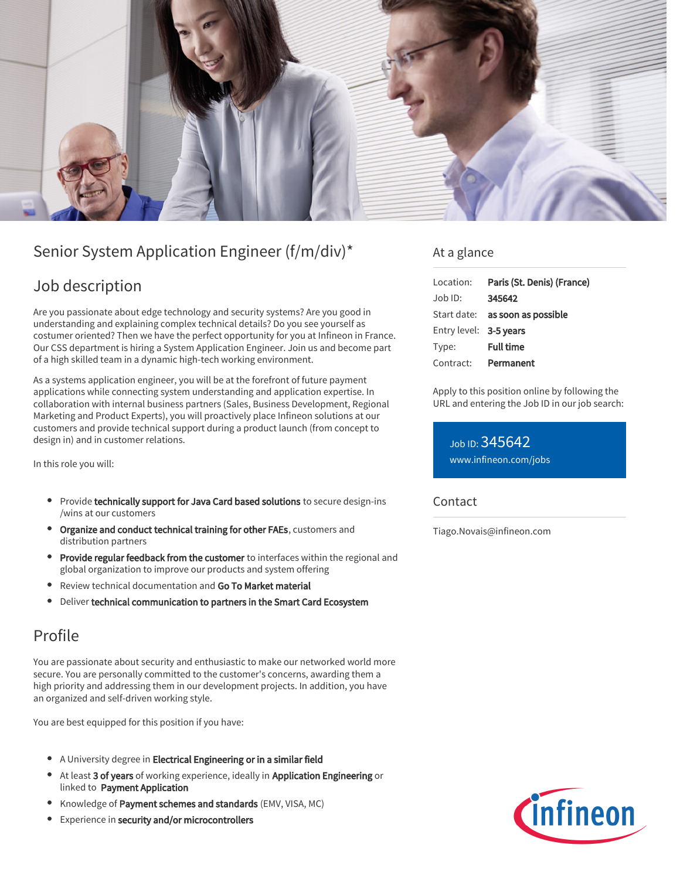

# Senior System Application Engineer (f/m/div)\*

## Job description

Are you passionate about edge technology and security systems? Are you good in understanding and explaining complex technical details? Do you see yourself as costumer oriented? Then we have the perfect opportunity for you at Infineon in France. Our CSS department is hiring a System Application Engineer. Join us and become part of a high skilled team in a dynamic high-tech working environment.

As a systems application engineer, you will be at the forefront of future payment applications while connecting system understanding and application expertise. In collaboration with internal business partners (Sales, Business Development, Regional Marketing and Product Experts), you will proactively place Infineon solutions at our customers and provide technical support during a product launch (from concept to design in) and in customer relations.

In this role you will:

- Provide technically support for Java Card based solutions to secure design-ins /wins at our customers
- Organize and conduct technical training for other FAEs, customers and distribution partners
- **Provide regular feedback from the customer** to interfaces within the regional and global organization to improve our products and system offering
- Review technical documentation and Go To Market material
- Deliver technical communication to partners in the Smart Card Ecosystem

# Profile

You are passionate about security and enthusiastic to make our networked world more secure. You are personally committed to the customer's concerns, awarding them a high priority and addressing them in our development projects. In addition, you have an organized and self-driven working style.

You are best equipped for this position if you have:

- A University degree in Electrical Engineering or in a similar field
- At least 3 of years of working experience, ideally in Application Engineering or linked to Payment Application
- Knowledge of Payment schemes and standards (EMV, VISA, MC)
- Experience in security and/or microcontrollers

### At a glance

| Location:              | Paris (St. Denis) (France)      |
|------------------------|---------------------------------|
| $Job$ ID:              | 345642                          |
|                        | Start date: as soon as possible |
| Entry level: 3-5 years |                                 |
| Type:                  | <b>Full time</b>                |
| Contract:              | Permanent                       |

Apply to this position online by following the URL and entering the Job ID in our job search:

Job ID: 345642 [www.infineon.com/jobs](https://www.infineon.com/jobs)

#### **Contact**

Tiago.Novais@infineon.com